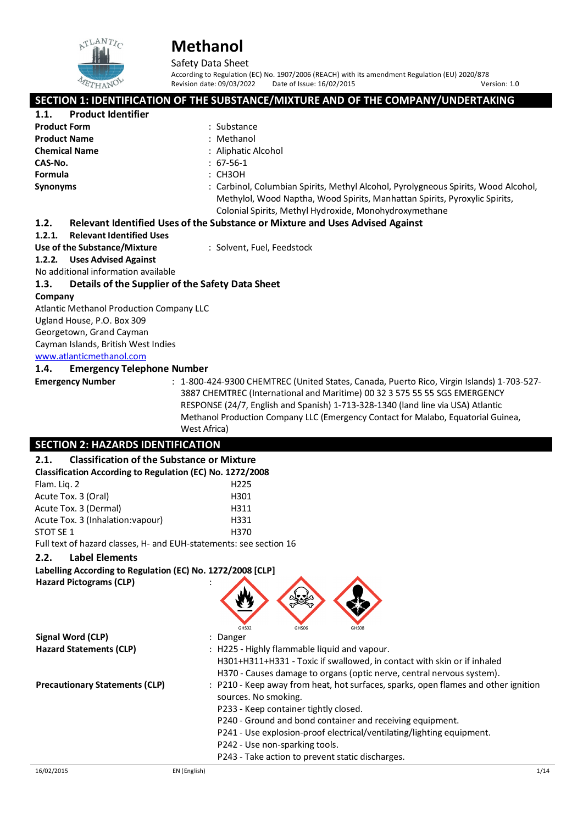

Safety Data Sheet

According to Regulation (EC) No. 1907/2006 (REACH) with its amendment Regulation (EU) 2020/878<br>Revision date: 09/03/2022 Date of Issue: 16/02/2015 Date of Issue: 16/02/2015

**SECTION 1: IDENTIFICATION OF THE SUBSTANCE/MIXTURE AND OF THE COMPANY/UNDERTAKING**<br>1.1. Product Identifier **1.1. Product Identifier Product Form in the contract of the contract of the Product Name Contract of the Contract Of the Contract Of the Contract Of the Contract Of the Contract Of the Contract Of the Contract Of the Contract Of the Contract Product Name Chemical Name** : Aliphatic Alcohol **CAS-No.** : 67‐56‐1 **Formula** : CH3OH **Synonyms** : Carbinol, Columbian Spirits, Methyl Alcohol, Pyrolygneous Spirits, Wood Alcohol,

#### Colonial Spirits, Methyl Hydroxide, Monohydroxymethane **1.2. Relevant Identified Uses of the Substance or Mixture and Uses Advised Against**

#### **1.2.1. Relevant Identified Uses**

#### **Use of the Substance/Mixture** : Solvent, Fuel, Feedstock

#### **1.2.2. Uses Advised Against**

No additional information available

#### **1.3. Details of the Supplier of the Safety Data Sheet**

#### **Company**

Atlantic Methanol Production Company LLC Ugland House, P.O. Box 309 Georgetown, Grand Cayman Cayman Islands, British West Indies [www.atlanticmethanol.com](file://leon/Customers/CUSTOMERS/AMPCO_Marketing_LLC/Projects/Authoring_20220224/Batch_Folder/E_Final_SDS/MS_Word_Files/www.atlanticmethanol.com)

#### **1.4. Emergency Telephone Number**

**Emergency Number** : 1-800-424-9300 CHEMTREC (United States, Canada, Puerto Rico, Virgin Islands) 1-703-527-3887 CHEMTREC (International and Maritime) 00 32 3 575 55 55 SGS EMERGENCY RESPONSE (24/7, English and Spanish) 1‐713‐328‐1340 (land line via USA) Atlantic Methanol Production Company LLC (Emergency Contact for Malabo, Equatorial Guinea, West Africa)

Methylol, Wood Naptha, Wood Spirits, Manhattan Spirits, Pyroxylic Spirits,

### **SECTION 2: HAZARDS IDENTIFICATION**

| <b>Classification of the Substance or Mixture</b><br>2.1.          |              |                                                                                                                                                                                                                                                                                                                                                                                 |
|--------------------------------------------------------------------|--------------|---------------------------------------------------------------------------------------------------------------------------------------------------------------------------------------------------------------------------------------------------------------------------------------------------------------------------------------------------------------------------------|
| Classification According to Regulation (EC) No. 1272/2008          |              |                                                                                                                                                                                                                                                                                                                                                                                 |
| Flam. Lig. 2                                                       |              | H <sub>225</sub>                                                                                                                                                                                                                                                                                                                                                                |
| Acute Tox. 3 (Oral)                                                |              | H301                                                                                                                                                                                                                                                                                                                                                                            |
| Acute Tox. 3 (Dermal)                                              |              | H311                                                                                                                                                                                                                                                                                                                                                                            |
| Acute Tox. 3 (Inhalation: vapour)                                  |              | H331                                                                                                                                                                                                                                                                                                                                                                            |
| STOT SE 1                                                          |              | H370                                                                                                                                                                                                                                                                                                                                                                            |
| Full text of hazard classes, H- and EUH-statements: see section 16 |              |                                                                                                                                                                                                                                                                                                                                                                                 |
| <b>Label Elements</b><br>2.2.                                      |              |                                                                                                                                                                                                                                                                                                                                                                                 |
| Labelling According to Regulation (EC) No. 1272/2008 [CLP]         |              |                                                                                                                                                                                                                                                                                                                                                                                 |
| <b>Hazard Pictograms (CLP)</b>                                     |              | GHS02<br>GHS06<br>GHS08                                                                                                                                                                                                                                                                                                                                                         |
| <b>Signal Word (CLP)</b>                                           |              | : Danger                                                                                                                                                                                                                                                                                                                                                                        |
| <b>Hazard Statements (CLP)</b>                                     |              | : H225 - Highly flammable liquid and vapour.<br>H301+H311+H331 - Toxic if swallowed, in contact with skin or if inhaled<br>H370 - Causes damage to organs (optic nerve, central nervous system).                                                                                                                                                                                |
| <b>Precautionary Statements (CLP)</b>                              |              | : P210 - Keep away from heat, hot surfaces, sparks, open flames and other ignition<br>sources. No smoking.<br>P233 - Keep container tightly closed.<br>P240 - Ground and bond container and receiving equipment.<br>P241 - Use explosion-proof electrical/ventilating/lighting equipment.<br>P242 - Use non-sparking tools.<br>P243 - Take action to prevent static discharges. |
| 16/02/2015                                                         | EN (English) | 1/14                                                                                                                                                                                                                                                                                                                                                                            |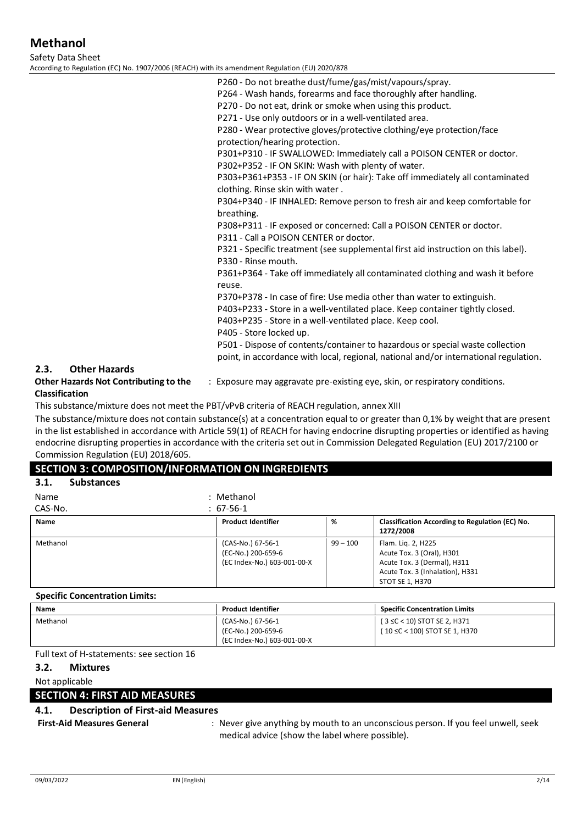Safety Data Sheet

According to Regulation (EC

|                    | ) No. 1907/2006 (REACH) with its amendment Regulation (EU) 2020/878                                                                                                   |
|--------------------|-----------------------------------------------------------------------------------------------------------------------------------------------------------------------|
|                    | P260 - Do not breathe dust/fume/gas/mist/vapours/spray.                                                                                                               |
|                    | P264 - Wash hands, forearms and face thoroughly after handling.                                                                                                       |
|                    | P270 - Do not eat, drink or smoke when using this product.                                                                                                            |
|                    | P271 - Use only outdoors or in a well-ventilated area.                                                                                                                |
|                    | P280 - Wear protective gloves/protective clothing/eye protection/face                                                                                                 |
|                    | protection/hearing protection.                                                                                                                                        |
|                    | P301+P310 - IF SWALLOWED: Immediately call a POISON CENTER or doctor.                                                                                                 |
|                    | P302+P352 - IF ON SKIN: Wash with plenty of water.                                                                                                                    |
|                    | P303+P361+P353 - IF ON SKIN (or hair): Take off immediately all contaminated<br>clothing. Rinse skin with water.                                                      |
|                    | P304+P340 - IF INHALED: Remove person to fresh air and keep comfortable for                                                                                           |
|                    | breathing.                                                                                                                                                            |
|                    | P308+P311 - IF exposed or concerned: Call a POISON CENTER or doctor.                                                                                                  |
|                    | P311 - Call a POISON CENTER or doctor.                                                                                                                                |
|                    | P321 - Specific treatment (see supplemental first aid instruction on this label).                                                                                     |
|                    | P330 - Rinse mouth.                                                                                                                                                   |
|                    | P361+P364 - Take off immediately all contaminated clothing and wash it before<br>reuse.                                                                               |
|                    | P370+P378 - In case of fire: Use media other than water to extinguish.                                                                                                |
|                    | P403+P233 - Store in a well-ventilated place. Keep container tightly closed.                                                                                          |
|                    | P403+P235 - Store in a well-ventilated place. Keep cool.                                                                                                              |
|                    | P405 - Store locked up.                                                                                                                                               |
|                    | P501 - Dispose of contents/container to hazardous or special waste collection<br>point, in accordance with local, regional, national and/or international regulation. |
| ards               |                                                                                                                                                                       |
| ontributing to the | : Exposure may aggravate pre-existing eye, skin, or respiratory conditions.                                                                                           |
|                    |                                                                                                                                                                       |

#### **2.3.** Other Haza

**Other Hazards Not Contribution Classification**

This substance/mixture does not meet the PBT/vPvB criteria of REACH regulation, annex XIII

The substance/mixture does not contain substance(s) at a concentration equal to or greater than 0,1% by weight that are present in the list established in accordance with Article 59(1) of REACH for having endocrine disrupting properties or identified as having endocrine disrupting properties in accordance with the criteria set out in Commission Delegated Regulation (EU) 2017/2100 or Commission Regulation (EU) 2018/605.

#### **SECTION 3: COMPOSITION/INFORMATION ON INGREDIENTS**

| 3.1.<br><b>Substances</b> |                                                                        |            |                                                                                                                                      |
|---------------------------|------------------------------------------------------------------------|------------|--------------------------------------------------------------------------------------------------------------------------------------|
| Name                      | : Methanol                                                             |            |                                                                                                                                      |
| CAS-No.                   | $: 67-56-1$                                                            |            |                                                                                                                                      |
| Name                      | <b>Product Identifier</b>                                              | %          | Classification According to Regulation (EC) No.<br>1272/2008                                                                         |
| Methanol                  | (CAS-No.) 67-56-1<br>(EC-No.) 200-659-6<br>(EC Index-No.) 603-001-00-X | $99 - 100$ | Flam. Lig. 2, H225<br>Acute Tox. 3 (Oral), H301<br>Acute Tox. 3 (Dermal), H311<br>Acute Tox. 3 (Inhalation), H331<br>STOT SE 1, H370 |

#### **Specific Concentration Limits:**

| Name     | <b>Product Identifier</b>                                              | <b>Specific Concentration Limits</b>                         |
|----------|------------------------------------------------------------------------|--------------------------------------------------------------|
| Methanol | (CAS-No.) 67-56-1<br>(EC-No.) 200-659-6<br>(EC Index-No.) 603-001-00-X | (3 ≤C < 10) STOT SE 2, H371<br>(10 ≤C < 100) STOT SE 1, H370 |

#### Full text of H-statements: see section 16

#### **3.2. Mixtures**

#### Not applicable

#### **SECTION 4: FIRST AID MEASURES**

# **4.1. Description of First-aid Measures**

: Never give anything by mouth to an unconscious person. If you feel unwell, seek medical advice (show the label where possible).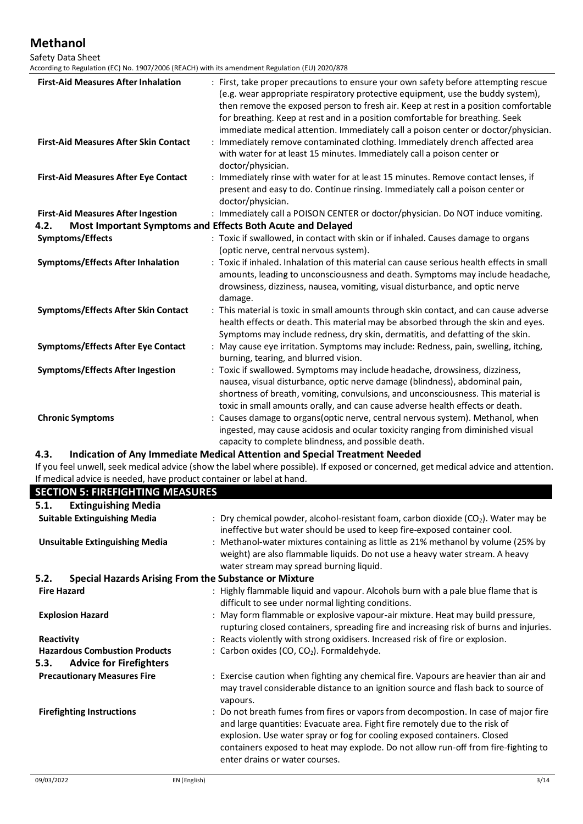Safety Data Sheet<br>According to Regulation

| <b>First-Aid Measures After Inhalation</b>                            | : First, take proper precautions to ensure your own safety before attempting rescue<br>(e.g. wear appropriate respiratory protective equipment, use the buddy system),<br>then remove the exposed person to fresh air. Keep at rest in a position comfortable<br>for breathing. Keep at rest and in a position comfortable for breathing. Seek<br>immediate medical attention. Immediately call a poison center or doctor/physician. |
|-----------------------------------------------------------------------|--------------------------------------------------------------------------------------------------------------------------------------------------------------------------------------------------------------------------------------------------------------------------------------------------------------------------------------------------------------------------------------------------------------------------------------|
| <b>First-Aid Measures After Skin Contact</b>                          | Immediately remove contaminated clothing. Immediately drench affected area<br>with water for at least 15 minutes. Immediately call a poison center or<br>doctor/physician.                                                                                                                                                                                                                                                           |
| <b>First-Aid Measures After Eye Contact</b>                           | : Immediately rinse with water for at least 15 minutes. Remove contact lenses, if<br>present and easy to do. Continue rinsing. Immediately call a poison center or<br>doctor/physician.                                                                                                                                                                                                                                              |
| <b>First-Aid Measures After Ingestion</b>                             | : Immediately call a POISON CENTER or doctor/physician. Do NOT induce vomiting.                                                                                                                                                                                                                                                                                                                                                      |
| 4.2.                                                                  | Most Important Symptoms and Effects Both Acute and Delayed                                                                                                                                                                                                                                                                                                                                                                           |
| Symptoms/Effects                                                      | : Toxic if swallowed, in contact with skin or if inhaled. Causes damage to organs<br>(optic nerve, central nervous system).                                                                                                                                                                                                                                                                                                          |
| <b>Symptoms/Effects After Inhalation</b>                              | : Toxic if inhaled. Inhalation of this material can cause serious health effects in small<br>amounts, leading to unconsciousness and death. Symptoms may include headache,<br>drowsiness, dizziness, nausea, vomiting, visual disturbance, and optic nerve<br>damage.                                                                                                                                                                |
| <b>Symptoms/Effects After Skin Contact</b>                            | : This material is toxic in small amounts through skin contact, and can cause adverse<br>health effects or death. This material may be absorbed through the skin and eyes.<br>Symptoms may include redness, dry skin, dermatitis, and defatting of the skin.                                                                                                                                                                         |
| <b>Symptoms/Effects After Eye Contact</b>                             | : May cause eye irritation. Symptoms may include: Redness, pain, swelling, itching,<br>burning, tearing, and blurred vision.                                                                                                                                                                                                                                                                                                         |
| <b>Symptoms/Effects After Ingestion</b>                               | : Toxic if swallowed. Symptoms may include headache, drowsiness, dizziness,<br>nausea, visual disturbance, optic nerve damage (blindness), abdominal pain,<br>shortness of breath, vomiting, convulsions, and unconsciousness. This material is<br>toxic in small amounts orally, and can cause adverse health effects or death.                                                                                                     |
| <b>Chronic Symptoms</b>                                               | : Causes damage to organs(optic nerve, central nervous system). Methanol, when<br>ingested, may cause acidosis and ocular toxicity ranging from diminished visual<br>capacity to complete blindness, and possible death.                                                                                                                                                                                                             |
| 4.3.                                                                  | Indication of Any Immediate Medical Attention and Special Treatment Needed                                                                                                                                                                                                                                                                                                                                                           |
| If medical advice is needed, have product container or label at hand. | If you feel unwell, seek medical advice (show the label where possible). If exposed or concerned, get medical advice and attention.                                                                                                                                                                                                                                                                                                  |

| n mcaical duvice is necueu, nave prouact container or laberat nanu.  |                                                                                                                                                                                                                                                                                                                                                                        |
|----------------------------------------------------------------------|------------------------------------------------------------------------------------------------------------------------------------------------------------------------------------------------------------------------------------------------------------------------------------------------------------------------------------------------------------------------|
| <b>SECTION 5: FIREFIGHTING MEASURES</b>                              |                                                                                                                                                                                                                                                                                                                                                                        |
| <b>Extinguishing Media</b><br>5.1.                                   |                                                                                                                                                                                                                                                                                                                                                                        |
| <b>Suitable Extinguishing Media</b>                                  | : Dry chemical powder, alcohol-resistant foam, carbon dioxide $(CO2)$ . Water may be<br>ineffective but water should be used to keep fire-exposed container cool.                                                                                                                                                                                                      |
| <b>Unsuitable Extinguishing Media</b>                                | : Methanol-water mixtures containing as little as 21% methanol by volume (25% by<br>weight) are also flammable liquids. Do not use a heavy water stream. A heavy<br>water stream may spread burning liquid.                                                                                                                                                            |
| <b>Special Hazards Arising From the Substance or Mixture</b><br>5.2. |                                                                                                                                                                                                                                                                                                                                                                        |
| <b>Fire Hazard</b>                                                   | : Highly flammable liquid and vapour. Alcohols burn with a pale blue flame that is<br>difficult to see under normal lighting conditions.                                                                                                                                                                                                                               |
| <b>Explosion Hazard</b>                                              | : May form flammable or explosive vapour-air mixture. Heat may build pressure,<br>rupturing closed containers, spreading fire and increasing risk of burns and injuries.                                                                                                                                                                                               |
| Reactivity                                                           | : Reacts violently with strong oxidisers. Increased risk of fire or explosion.                                                                                                                                                                                                                                                                                         |
| <b>Hazardous Combustion Products</b>                                 | : Carbon oxides (CO, CO <sub>2</sub> ). Formaldehyde.                                                                                                                                                                                                                                                                                                                  |
| 5.3.<br><b>Advice for Firefighters</b>                               |                                                                                                                                                                                                                                                                                                                                                                        |
| <b>Precautionary Measures Fire</b>                                   | : Exercise caution when fighting any chemical fire. Vapours are heavier than air and<br>may travel considerable distance to an ignition source and flash back to source of<br>vapours.                                                                                                                                                                                 |
| <b>Firefighting Instructions</b>                                     | : Do not breath fumes from fires or vapors from decompostion. In case of major fire<br>and large quantities: Evacuate area. Fight fire remotely due to the risk of<br>explosion. Use water spray or fog for cooling exposed containers. Closed<br>containers exposed to heat may explode. Do not allow run-off from fire-fighting to<br>enter drains or water courses. |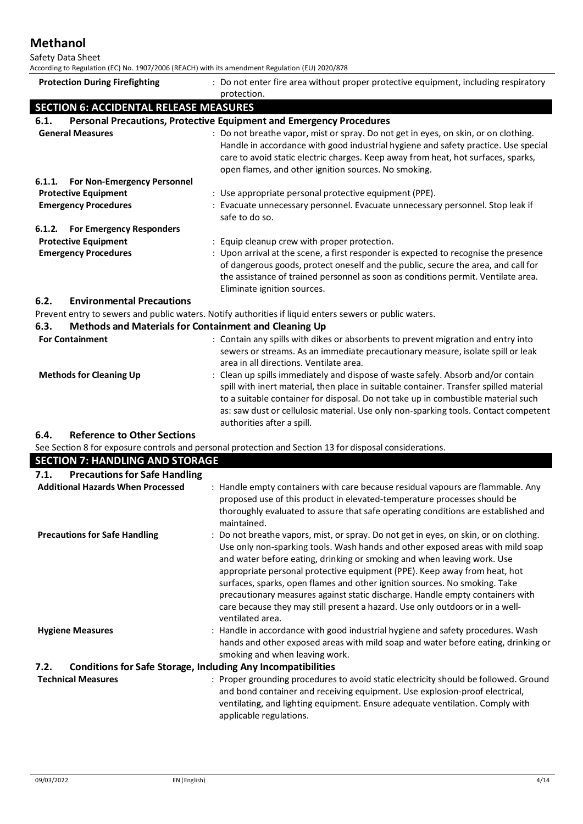Safety Data Sheet

According to Regulation (EC) No. 1907/2006 (REACH) with its amendment Regulation (EU) 2020/878

| According to Regulation (EC) No. 1907/2006 (REACH) with its amendment Regulation (EO) 2020/878 |                                                                                                                                                                                                                                                                                                                                                                                                                                                                                                                                                                                 |
|------------------------------------------------------------------------------------------------|---------------------------------------------------------------------------------------------------------------------------------------------------------------------------------------------------------------------------------------------------------------------------------------------------------------------------------------------------------------------------------------------------------------------------------------------------------------------------------------------------------------------------------------------------------------------------------|
| <b>Protection During Firefighting</b>                                                          | : Do not enter fire area without proper protective equipment, including respiratory                                                                                                                                                                                                                                                                                                                                                                                                                                                                                             |
|                                                                                                | protection.                                                                                                                                                                                                                                                                                                                                                                                                                                                                                                                                                                     |
| <b>SECTION 6: ACCIDENTAL RELEASE MEASURES</b>                                                  |                                                                                                                                                                                                                                                                                                                                                                                                                                                                                                                                                                                 |
| 6.1.                                                                                           | <b>Personal Precautions, Protective Equipment and Emergency Procedures</b>                                                                                                                                                                                                                                                                                                                                                                                                                                                                                                      |
| <b>General Measures</b>                                                                        | : Do not breathe vapor, mist or spray. Do not get in eyes, on skin, or on clothing.<br>Handle in accordance with good industrial hygiene and safety practice. Use special<br>care to avoid static electric charges. Keep away from heat, hot surfaces, sparks,<br>open flames, and other ignition sources. No smoking.                                                                                                                                                                                                                                                          |
| For Non-Emergency Personnel<br>6.1.1.                                                          |                                                                                                                                                                                                                                                                                                                                                                                                                                                                                                                                                                                 |
| <b>Protective Equipment</b>                                                                    | : Use appropriate personal protective equipment (PPE).                                                                                                                                                                                                                                                                                                                                                                                                                                                                                                                          |
| <b>Emergency Procedures</b>                                                                    | : Evacuate unnecessary personnel. Evacuate unnecessary personnel. Stop leak if<br>safe to do so.                                                                                                                                                                                                                                                                                                                                                                                                                                                                                |
| <b>For Emergency Responders</b><br>6.1.2.                                                      |                                                                                                                                                                                                                                                                                                                                                                                                                                                                                                                                                                                 |
| <b>Protective Equipment</b>                                                                    | : Equip cleanup crew with proper protection.                                                                                                                                                                                                                                                                                                                                                                                                                                                                                                                                    |
| <b>Emergency Procedures</b>                                                                    | : Upon arrival at the scene, a first responder is expected to recognise the presence<br>of dangerous goods, protect oneself and the public, secure the area, and call for<br>the assistance of trained personnel as soon as conditions permit. Ventilate area.<br>Eliminate ignition sources.                                                                                                                                                                                                                                                                                   |
| <b>Environmental Precautions</b><br>6.2.                                                       |                                                                                                                                                                                                                                                                                                                                                                                                                                                                                                                                                                                 |
|                                                                                                | Prevent entry to sewers and public waters. Notify authorities if liquid enters sewers or public waters.                                                                                                                                                                                                                                                                                                                                                                                                                                                                         |
| 6.3.                                                                                           | Methods and Materials for Containment and Cleaning Up                                                                                                                                                                                                                                                                                                                                                                                                                                                                                                                           |
| <b>For Containment</b><br><b>Methods for Cleaning Up</b>                                       | : Contain any spills with dikes or absorbents to prevent migration and entry into<br>sewers or streams. As an immediate precautionary measure, isolate spill or leak<br>area in all directions. Ventilate area.<br>: Clean up spills immediately and dispose of waste safely. Absorb and/or contain                                                                                                                                                                                                                                                                             |
|                                                                                                | spill with inert material, then place in suitable container. Transfer spilled material<br>to a suitable container for disposal. Do not take up in combustible material such<br>as: saw dust or cellulosic material. Use only non-sparking tools. Contact competent<br>authorities after a spill.                                                                                                                                                                                                                                                                                |
| <b>Reference to Other Sections</b><br>6.4.                                                     |                                                                                                                                                                                                                                                                                                                                                                                                                                                                                                                                                                                 |
| <b>SECTION 7: HANDLING AND STORAGE</b>                                                         | See Section 8 for exposure controls and personal protection and Section 13 for disposal considerations.                                                                                                                                                                                                                                                                                                                                                                                                                                                                         |
| <b>Precautions for Safe Handling</b><br>7.1.                                                   |                                                                                                                                                                                                                                                                                                                                                                                                                                                                                                                                                                                 |
| <b>Additional Hazards When Processed</b>                                                       | : Handle empty containers with care because residual vapours are flammable. Any<br>proposed use of this product in elevated-temperature processes should be<br>thoroughly evaluated to assure that safe operating conditions are established and<br>maintained.                                                                                                                                                                                                                                                                                                                 |
| <b>Precautions for Safe Handling</b>                                                           | : Do not breathe vapors, mist, or spray. Do not get in eyes, on skin, or on clothing.<br>Use only non-sparking tools. Wash hands and other exposed areas with mild soap<br>and water before eating, drinking or smoking and when leaving work. Use<br>appropriate personal protective equipment (PPE). Keep away from heat, hot<br>surfaces, sparks, open flames and other ignition sources. No smoking. Take<br>precautionary measures against static discharge. Handle empty containers with<br>care because they may still present a hazard. Use only outdoors or in a well- |

**Hygiene Measures** : Handle in accordance with good industrial hygiene and safety procedures. Wash hands and other exposed areas with mild soap and water before eating, drinking or smoking and when leaving work.

ventilated area.

# **7.2. Conditions for Safe Storage, Including Any Incompatibilities**

**Technical Measures** : Proper grounding procedures to avoid static electricity should be followed. Ground and bond container and receiving equipment. Use explosion-proof electrical, ventilating, and lighting equipment. Ensure adequate ventilation. Comply with applicable regulations.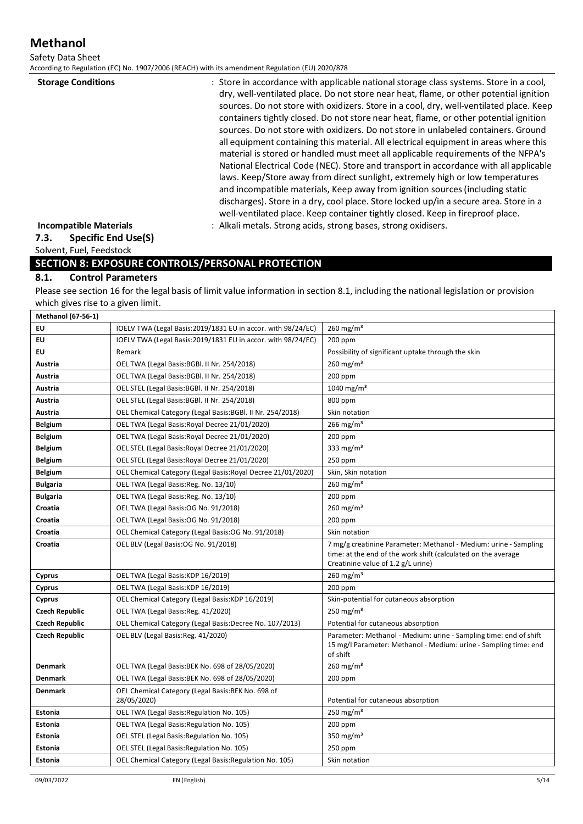Safety Data Sheet

According to Regulation (EC) No. 1907/2006 (REACH) with its amendment Regulation (EU) 2020/878

| : Store in accordance with applicable national storage class systems. Store in a cool,                                                                                                                                                                   |
|----------------------------------------------------------------------------------------------------------------------------------------------------------------------------------------------------------------------------------------------------------|
| dry, well-ventilated place. Do not store near heat, flame, or other potential ignition                                                                                                                                                                   |
| sources. Do not store with oxidizers. Store in a cool, dry, well-ventilated place. Keep                                                                                                                                                                  |
| containers tightly closed. Do not store near heat, flame, or other potential ignition                                                                                                                                                                    |
| sources. Do not store with oxidizers. Do not store in unlabeled containers. Ground                                                                                                                                                                       |
| all equipment containing this material. All electrical equipment in areas where this<br>material is stored or handled must meet all applicable requirements of the NFPA's                                                                                |
| National Electrical Code (NEC). Store and transport in accordance with all applicable                                                                                                                                                                    |
| laws. Keep/Store away from direct sunlight, extremely high or low temperatures<br>and incompatible materials, Keep away from ignition sources (including static<br>discharges). Store in a dry, cool place. Store locked up/in a secure area. Store in a |
| well-ventilated place. Keep container tightly closed. Keep in fireproof place.                                                                                                                                                                           |
| : Alkali metals. Strong acids, strong bases, strong oxidisers.                                                                                                                                                                                           |
|                                                                                                                                                                                                                                                          |

## **7.3. Specific End Use(S)**

Solvent, Fuel, Feedstock

### **SECTION 8: EXPOSURE CONTROLS/PERSONAL PROTECTION**

#### **8.1. Control Parameters**

Please see section 16 for the legal basis of limit value information in section 8.1, including the national legislation or provision which gives rise to a given limit.

| <b>Methanol (67-56-1)</b> |                                                                   |                                                                                                                                                                         |
|---------------------------|-------------------------------------------------------------------|-------------------------------------------------------------------------------------------------------------------------------------------------------------------------|
| EU                        | IOELV TWA (Legal Basis:2019/1831 EU in accor. with 98/24/EC)      | $260$ mg/m <sup>3</sup>                                                                                                                                                 |
| EU                        | IOELV TWA (Legal Basis:2019/1831 EU in accor. with 98/24/EC)      | $200$ ppm                                                                                                                                                               |
| EU                        | Remark                                                            | Possibility of significant uptake through the skin                                                                                                                      |
| Austria                   | OEL TWA (Legal Basis: BGBI. II Nr. 254/2018)                      | 260 $mg/m3$                                                                                                                                                             |
| Austria                   | OEL TWA (Legal Basis: BGBI. II Nr. 254/2018)                      | 200 ppm                                                                                                                                                                 |
| Austria                   | OEL STEL (Legal Basis: BGBl. II Nr. 254/2018)                     | 1040 mg/m <sup>3</sup>                                                                                                                                                  |
| Austria                   | OEL STEL (Legal Basis: BGBI. II Nr. 254/2018)                     | 800 ppm                                                                                                                                                                 |
| Austria                   | OEL Chemical Category (Legal Basis: BGBI. II Nr. 254/2018)        | Skin notation                                                                                                                                                           |
| <b>Belgium</b>            | OEL TWA (Legal Basis: Royal Decree 21/01/2020)                    | $266 \text{ mg/m}^3$                                                                                                                                                    |
| <b>Belgium</b>            | OEL TWA (Legal Basis: Royal Decree 21/01/2020)                    | 200 ppm                                                                                                                                                                 |
| <b>Belgium</b>            | OEL STEL (Legal Basis: Royal Decree 21/01/2020)                   | 333 mg/m <sup>3</sup>                                                                                                                                                   |
| <b>Belgium</b>            | OEL STEL (Legal Basis: Royal Decree 21/01/2020)                   | 250 ppm                                                                                                                                                                 |
| <b>Belgium</b>            | OEL Chemical Category (Legal Basis: Royal Decree 21/01/2020)      | Skin, Skin notation                                                                                                                                                     |
| <b>Bulgaria</b>           | OEL TWA (Legal Basis: Reg. No. 13/10)                             | $260 \,\mathrm{mg/m^3}$                                                                                                                                                 |
| <b>Bulgaria</b>           | OEL TWA (Legal Basis: Reg. No. 13/10)                             | 200 ppm                                                                                                                                                                 |
| Croatia                   | OEL TWA (Legal Basis: OG No. 91/2018)                             | $260 \text{ mg/m}^3$                                                                                                                                                    |
| Croatia                   | OEL TWA (Legal Basis: OG No. 91/2018)                             | 200 ppm                                                                                                                                                                 |
| Croatia                   | OEL Chemical Category (Legal Basis: OG No. 91/2018)               | Skin notation                                                                                                                                                           |
| Croatia                   | OEL BLV (Legal Basis:OG No. 91/2018)                              | 7 mg/g creatinine Parameter: Methanol - Medium: urine - Sampling<br>time: at the end of the work shift (calculated on the average<br>Creatinine value of 1.2 g/L urine) |
| Cyprus                    | OEL TWA (Legal Basis: KDP 16/2019)                                | $260 \text{ mg/m}^3$                                                                                                                                                    |
| Cyprus                    | OEL TWA (Legal Basis: KDP 16/2019)                                | 200 ppm                                                                                                                                                                 |
| Cyprus                    | OEL Chemical Category (Legal Basis: KDP 16/2019)                  | Skin-potential for cutaneous absorption                                                                                                                                 |
| <b>Czech Republic</b>     | OEL TWA (Legal Basis: Reg. 41/2020)                               | 250 mg/m <sup>3</sup>                                                                                                                                                   |
| <b>Czech Republic</b>     | OEL Chemical Category (Legal Basis:Decree No. 107/2013)           | Potential for cutaneous absorption                                                                                                                                      |
| <b>Czech Republic</b>     | OEL BLV (Legal Basis: Reg. 41/2020)                               | Parameter: Methanol - Medium: urine - Sampling time: end of shift<br>15 mg/l Parameter: Methanol - Medium: urine - Sampling time: end<br>of shift                       |
| <b>Denmark</b>            | OEL TWA (Legal Basis: BEK No. 698 of 28/05/2020)                  | $260 \text{ mg/m}^3$                                                                                                                                                    |
| <b>Denmark</b>            | OEL TWA (Legal Basis: BEK No. 698 of 28/05/2020)                  | 200 ppm                                                                                                                                                                 |
| <b>Denmark</b>            | OEL Chemical Category (Legal Basis: BEK No. 698 of<br>28/05/2020) | Potential for cutaneous absorption                                                                                                                                      |
| Estonia                   | OEL TWA (Legal Basis: Regulation No. 105)                         | $250 \text{ mg/m}^3$                                                                                                                                                    |
| Estonia                   | OEL TWA (Legal Basis: Regulation No. 105)                         | $200$ ppm                                                                                                                                                               |
| Estonia                   | OEL STEL (Legal Basis: Regulation No. 105)                        | 350 mg/m <sup>3</sup>                                                                                                                                                   |
| <b>Estonia</b>            | OEL STEL (Legal Basis: Regulation No. 105)                        | 250 ppm                                                                                                                                                                 |
| <b>Estonia</b>            | OEL Chemical Category (Legal Basis: Regulation No. 105)           | Skin notation                                                                                                                                                           |
|                           |                                                                   |                                                                                                                                                                         |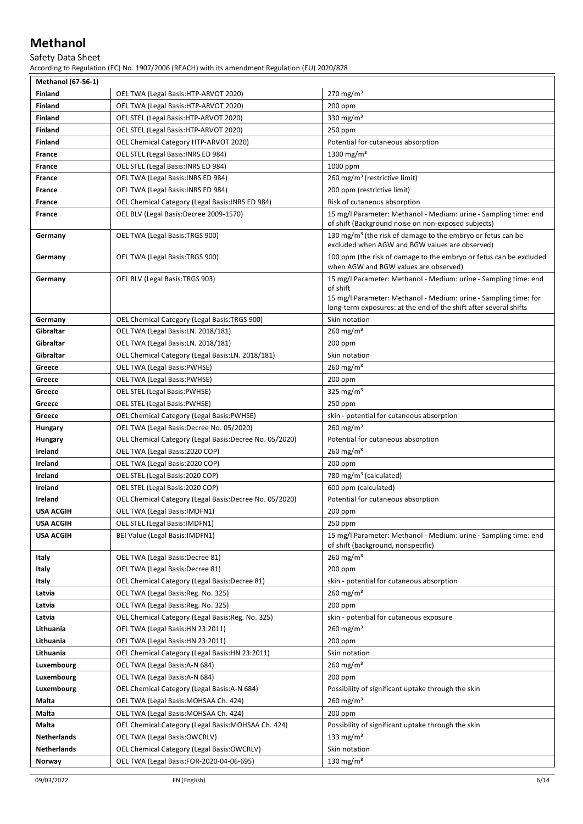#### Safety Data Sheet

According to Regulation (EC) No. 1907/2006 (REACH) with its amendment Regulation (EU) 2020/878

| <b>Methanol (67-56-1)</b>            |                                                                        |                                                                                                                                                                                                                       |
|--------------------------------------|------------------------------------------------------------------------|-----------------------------------------------------------------------------------------------------------------------------------------------------------------------------------------------------------------------|
| <b>Finland</b>                       | OEL TWA (Legal Basis: HTP-ARVOT 2020)                                  | $270 \,\mathrm{mg/m^3}$                                                                                                                                                                                               |
| <b>Finland</b>                       | OEL TWA (Legal Basis: HTP-ARVOT 2020)                                  | $200$ ppm                                                                                                                                                                                                             |
| <b>Finland</b>                       | OEL STEL (Legal Basis:HTP-ARVOT 2020)                                  | 330 mg/m <sup>3</sup>                                                                                                                                                                                                 |
| <b>Finland</b>                       | OEL STEL (Legal Basis:HTP-ARVOT 2020)                                  | $250$ ppm                                                                                                                                                                                                             |
| <b>Finland</b>                       | OEL Chemical Category HTP-ARVOT 2020)                                  | Potential for cutaneous absorption                                                                                                                                                                                    |
| France                               | OEL STEL (Legal Basis: INRS ED 984)                                    | 1300 mg/m <sup>3</sup>                                                                                                                                                                                                |
| France                               | OEL STEL (Legal Basis: INRS ED 984)                                    | 1000 ppm                                                                                                                                                                                                              |
| France                               | OEL TWA (Legal Basis: INRS ED 984)                                     | 260 mg/m <sup>3</sup> (restrictive limit)                                                                                                                                                                             |
| France                               | OEL TWA (Legal Basis: INRS ED 984)                                     | 200 ppm (restrictive limit)                                                                                                                                                                                           |
| France                               | OEL Chemical Category (Legal Basis: INRS ED 984)                       | Risk of cutaneous absorption                                                                                                                                                                                          |
| France                               | OEL BLV (Legal Basis:Decree 2009-1570)                                 | 15 mg/l Parameter: Methanol - Medium: urine - Sampling time: end<br>of shift (Background noise on non-exposed subjects)                                                                                               |
| Germany                              | OEL TWA (Legal Basis: TRGS 900)                                        | 130 mg/m <sup>3</sup> (the risk of damage to the embryo or fetus can be<br>excluded when AGW and BGW values are observed)                                                                                             |
| Germany                              | OEL TWA (Legal Basis: TRGS 900)                                        | 100 ppm (the risk of damage to the embryo or fetus can be excluded<br>when AGW and BGW values are observed)                                                                                                           |
| Germany                              | OEL BLV (Legal Basis:TRGS 903)                                         | 15 mg/l Parameter: Methanol - Medium: urine - Sampling time: end<br>of shift<br>15 mg/l Parameter: Methanol - Medium: urine - Sampling time: for<br>long-term exposures: at the end of the shift after several shifts |
| Germany                              | OEL Chemical Category (Legal Basis: TRGS 900)                          | Skin notation                                                                                                                                                                                                         |
| Gibraltar                            | OEL TWA (Legal Basis:LN. 2018/181)                                     | 260 mg/m <sup>3</sup>                                                                                                                                                                                                 |
| Gibraltar                            | OEL TWA (Legal Basis:LN. 2018/181)                                     | 200 ppm                                                                                                                                                                                                               |
| Gibraltar                            | OEL Chemical Category (Legal Basis:LN. 2018/181)                       | Skin notation                                                                                                                                                                                                         |
| Greece                               | OEL TWA (Legal Basis: PWHSE)                                           | $260 \,\mathrm{mg/m^3}$                                                                                                                                                                                               |
| Greece                               | OEL TWA (Legal Basis: PWHSE)                                           | $200$ ppm                                                                                                                                                                                                             |
| Greece                               | OEL STEL (Legal Basis:PWHSE)                                           | 325 mg/m <sup>3</sup>                                                                                                                                                                                                 |
| Greece                               | <b>OEL STEL (Legal Basis:PWHSE)</b>                                    | $250$ ppm                                                                                                                                                                                                             |
| Greece                               | OEL Chemical Category (Legal Basis:PWHSE)                              | skin - potential for cutaneous absorption                                                                                                                                                                             |
| Hungary                              | OEL TWA (Legal Basis:Decree No. 05/2020)                               | $260 \text{ mg/m}^3$                                                                                                                                                                                                  |
| Hungary                              | OEL Chemical Category (Legal Basis:Decree No. 05/2020)                 | Potential for cutaneous absorption                                                                                                                                                                                    |
| Ireland                              | OEL TWA (Legal Basis:2020 COP)                                         | $260 \,\mathrm{mg/m^3}$                                                                                                                                                                                               |
| Ireland                              | OEL TWA (Legal Basis:2020 COP)                                         | $200$ ppm                                                                                                                                                                                                             |
| Ireland                              | OEL STEL (Legal Basis:2020 COP)                                        | 780 mg/m <sup>3</sup> (calculated)                                                                                                                                                                                    |
| Ireland                              | OEL STEL (Legal Basis:2020 COP)                                        | 600 ppm (calculated)                                                                                                                                                                                                  |
| Ireland                              | OEL Chemical Category (Legal Basis:Decree No. 05/2020)                 | Potential for cutaneous absorption                                                                                                                                                                                    |
| <b>USA ACGIH</b>                     | <b>OEL TWA (Legal Basis: IMDFN1)</b><br>OEL STEL (Legal Basis: IMDFN1) | $200$ ppm<br>$250$ ppm                                                                                                                                                                                                |
| <b>USA ACGIH</b><br><b>USA ACGIH</b> | BEI Value (Legal Basis: IMDFN1)                                        | 15 mg/l Parameter: Methanol - Medium: urine - Sampling time: end                                                                                                                                                      |
|                                      |                                                                        | of shift (background, nonspecific)                                                                                                                                                                                    |
| Italy                                | OEL TWA (Legal Basis:Decree 81)                                        | $260 \text{ mg/m}^3$                                                                                                                                                                                                  |
| Italy                                | OEL TWA (Legal Basis:Decree 81)                                        | 200 ppm                                                                                                                                                                                                               |
| Italy                                | OEL Chemical Category (Legal Basis:Decree 81)                          | skin - potential for cutaneous absorption                                                                                                                                                                             |
| Latvia                               | OEL TWA (Legal Basis: Reg. No. 325)                                    | 260 mg/m <sup>3</sup>                                                                                                                                                                                                 |
| Latvia                               | OEL TWA (Legal Basis: Reg. No. 325)                                    | 200 ppm                                                                                                                                                                                                               |
| Latvia                               | OEL Chemical Category (Legal Basis: Reg. No. 325)                      | skin - potential for cutaneous exposure                                                                                                                                                                               |
| Lithuania                            | OEL TWA (Legal Basis: HN 23:2011)                                      | 260 mg/m <sup>3</sup>                                                                                                                                                                                                 |
| Lithuania                            | OEL TWA (Legal Basis: HN 23:2011)                                      | 200 ppm                                                                                                                                                                                                               |
| Lithuania                            | OEL Chemical Category (Legal Basis:HN 23:2011)                         | Skin notation                                                                                                                                                                                                         |
| Luxembourg                           | OEL TWA (Legal Basis: A-N 684)                                         | 260 mg/m <sup>3</sup>                                                                                                                                                                                                 |
| Luxembourg                           | OEL TWA (Legal Basis: A-N 684)                                         | 200 ppm                                                                                                                                                                                                               |
| Luxembourg                           | OEL Chemical Category (Legal Basis:A-N 684)                            | Possibility of significant uptake through the skin                                                                                                                                                                    |
| Malta                                | OEL TWA (Legal Basis: MOHSAA Ch. 424)                                  | $260 \text{ mg/m}^3$                                                                                                                                                                                                  |
| Malta                                | OEL TWA (Legal Basis: MOHSAA Ch. 424)                                  | 200 ppm                                                                                                                                                                                                               |
| Malta                                | OEL Chemical Category (Legal Basis: MOHSAA Ch. 424)                    | Possibility of significant uptake through the skin                                                                                                                                                                    |
| Netherlands                          | OEL TWA (Legal Basis:OWCRLV)                                           | 133 mg/m <sup>3</sup>                                                                                                                                                                                                 |
| Netherlands                          | OEL Chemical Category (Legal Basis:OWCRLV)                             | Skin notation                                                                                                                                                                                                         |
| Norway                               | OEL TWA (Legal Basis: FOR-2020-04-06-695)                              | 130 mg/m <sup>3</sup>                                                                                                                                                                                                 |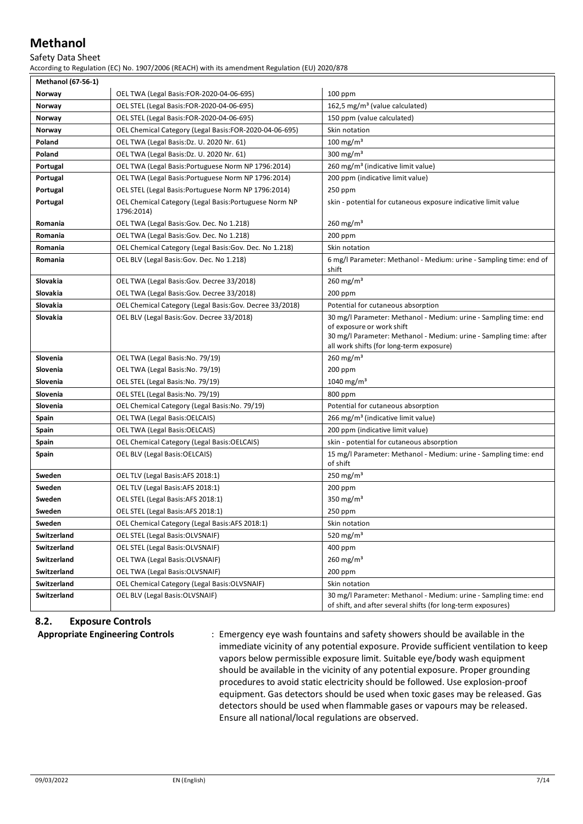#### Safety Data Sheet

According to Regulation (EC) No. 1907/2006 (REACH) with its amendment Regulation (EU) 2020/878

| <b>Methanol (67-56-1)</b> |                                                                      |                                                                                                                                                                                                                 |
|---------------------------|----------------------------------------------------------------------|-----------------------------------------------------------------------------------------------------------------------------------------------------------------------------------------------------------------|
| Norway                    | OEL TWA (Legal Basis:FOR-2020-04-06-695)                             | $100$ ppm                                                                                                                                                                                                       |
| Norway                    | OEL STEL (Legal Basis:FOR-2020-04-06-695)                            | 162,5 mg/m <sup>3</sup> (value calculated)                                                                                                                                                                      |
| Norway                    | OEL STEL (Legal Basis:FOR-2020-04-06-695)                            | 150 ppm (value calculated)                                                                                                                                                                                      |
| Norway                    | OEL Chemical Category (Legal Basis:FOR-2020-04-06-695)               | Skin notation                                                                                                                                                                                                   |
| Poland                    | OEL TWA (Legal Basis:Dz. U. 2020 Nr. 61)                             | $100 \text{ mg/m}^3$                                                                                                                                                                                            |
| Poland                    | OEL TWA (Legal Basis:Dz. U. 2020 Nr. 61)                             | 300 mg/m <sup>3</sup>                                                                                                                                                                                           |
| Portugal                  | OEL TWA (Legal Basis: Portuguese Norm NP 1796: 2014)                 | 260 mg/m <sup>3</sup> (indicative limit value)                                                                                                                                                                  |
| Portugal                  | OEL TWA (Legal Basis: Portuguese Norm NP 1796: 2014)                 | 200 ppm (indicative limit value)                                                                                                                                                                                |
| Portugal                  | OEL STEL (Legal Basis: Portuguese Norm NP 1796:2014)                 | 250 ppm                                                                                                                                                                                                         |
| Portugal                  | OEL Chemical Category (Legal Basis: Portuguese Norm NP<br>1796:2014) | skin - potential for cutaneous exposure indicative limit value                                                                                                                                                  |
| Romania                   | OEL TWA (Legal Basis: Gov. Dec. No 1.218)                            | 260 mg/m <sup>3</sup>                                                                                                                                                                                           |
| Romania                   | OEL TWA (Legal Basis: Gov. Dec. No 1.218)                            | 200 ppm                                                                                                                                                                                                         |
| Romania                   | OEL Chemical Category (Legal Basis: Gov. Dec. No 1.218)              | Skin notation                                                                                                                                                                                                   |
| Romania                   | OEL BLV (Legal Basis: Gov. Dec. No 1.218)                            | 6 mg/l Parameter: Methanol - Medium: urine - Sampling time: end of<br>shift                                                                                                                                     |
| Slovakia                  | OEL TWA (Legal Basis: Gov. Decree 33/2018)                           | 260 mg/m <sup>3</sup>                                                                                                                                                                                           |
| Slovakia                  | OEL TWA (Legal Basis: Gov. Decree 33/2018)                           | 200 ppm                                                                                                                                                                                                         |
| Slovakia                  | OEL Chemical Category (Legal Basis: Gov. Decree 33/2018)             | Potential for cutaneous absorption                                                                                                                                                                              |
| Slovakia                  | OEL BLV (Legal Basis: Gov. Decree 33/2018)                           | 30 mg/l Parameter: Methanol - Medium: urine - Sampling time: end<br>of exposure or work shift<br>30 mg/l Parameter: Methanol - Medium: urine - Sampling time: after<br>all work shifts (for long-term exposure) |
| Slovenia                  | OEL TWA (Legal Basis: No. 79/19)                                     | $260 \text{ mg/m}^3$                                                                                                                                                                                            |
| Slovenia                  | OEL TWA (Legal Basis: No. 79/19)                                     | $200$ ppm                                                                                                                                                                                                       |
| Slovenia                  | OEL STEL (Legal Basis: No. 79/19)                                    | 1040 mg/m <sup>3</sup>                                                                                                                                                                                          |
| Slovenia                  | OEL STEL (Legal Basis: No. 79/19)                                    | 800 ppm                                                                                                                                                                                                         |
| Slovenia                  | OEL Chemical Category (Legal Basis: No. 79/19)                       | Potential for cutaneous absorption                                                                                                                                                                              |
| Spain                     | OEL TWA (Legal Basis: OELCAIS)                                       | 266 mg/m <sup>3</sup> (indicative limit value)                                                                                                                                                                  |
| Spain                     | OEL TWA (Legal Basis: OELCAIS)                                       | 200 ppm (indicative limit value)                                                                                                                                                                                |
| Spain                     | OEL Chemical Category (Legal Basis:OELCAIS)                          | skin - potential for cutaneous absorption                                                                                                                                                                       |
| Spain                     | OEL BLV (Legal Basis:OELCAIS)                                        | 15 mg/l Parameter: Methanol - Medium: urine - Sampling time: end<br>of shift                                                                                                                                    |
| Sweden                    | OEL TLV (Legal Basis:AFS 2018:1)                                     | 250 mg/m <sup>3</sup>                                                                                                                                                                                           |
| Sweden                    | OEL TLV (Legal Basis:AFS 2018:1)                                     | $200$ ppm                                                                                                                                                                                                       |
| Sweden                    | OEL STEL (Legal Basis:AFS 2018:1)                                    | 350 mg/m <sup>3</sup>                                                                                                                                                                                           |
| Sweden                    | OEL STEL (Legal Basis:AFS 2018:1)                                    | 250 ppm                                                                                                                                                                                                         |
| Sweden                    | OEL Chemical Category (Legal Basis:AFS 2018:1)                       | Skin notation                                                                                                                                                                                                   |
| Switzerland               | OEL STEL (Legal Basis:OLVSNAIF)                                      | 520 mg/m <sup>3</sup>                                                                                                                                                                                           |
| Switzerland               | OEL STEL (Legal Basis:OLVSNAIF)                                      | 400 ppm                                                                                                                                                                                                         |
| Switzerland               | OEL TWA (Legal Basis: OLVSNAIF)                                      | $260 \text{ mg/m}^3$                                                                                                                                                                                            |
| Switzerland               | OEL TWA (Legal Basis: OLVSNAIF)                                      | 200 ppm                                                                                                                                                                                                         |
| Switzerland               | OEL Chemical Category (Legal Basis:OLVSNAIF)                         | Skin notation                                                                                                                                                                                                   |
| Switzerland               | <b>OEL BLV (Legal Basis:OLVSNAIF)</b>                                | 30 mg/l Parameter: Methanol - Medium: urine - Sampling time: end<br>of shift, and after several shifts (for long-term exposures)                                                                                |

#### **8.2. Exposure Controls**

**Appropriate Engineering Controls** : Emergency eye wash fountains and safety showers should be available in the immediate vicinity of any potential exposure. Provide sufficient ventilation to keep vapors below permissible exposure limit. Suitable eye/body wash equipment should be available in the vicinity of any potential exposure. Proper grounding procedures to avoid static electricity should be followed. Use explosion-proof equipment. Gas detectors should be used when toxic gases may be released. Gas detectors should be used when flammable gases or vapours may be released. Ensure all national/local regulations are observed.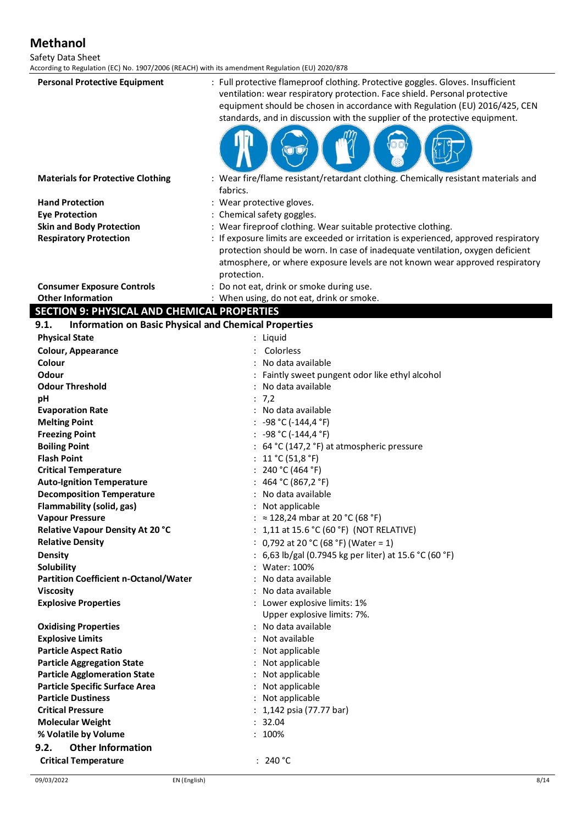Safety Data Sheet

| According to Regulation (EC) No. 1907/2006 (REACH) with its amendment Regulation (EU) 2020/878 |                                                                                                                                                                                                                                                                                                                             |
|------------------------------------------------------------------------------------------------|-----------------------------------------------------------------------------------------------------------------------------------------------------------------------------------------------------------------------------------------------------------------------------------------------------------------------------|
| <b>Personal Protective Equipment</b>                                                           | : Full protective flameproof clothing. Protective goggles. Gloves. Insufficient<br>ventilation: wear respiratory protection. Face shield. Personal protective<br>equipment should be chosen in accordance with Regulation (EU) 2016/425, CEN<br>standards, and in discussion with the supplier of the protective equipment. |
| <b>Materials for Protective Clothing</b>                                                       | : Wear fire/flame resistant/retardant clothing. Chemically resistant materials and<br>fabrics.                                                                                                                                                                                                                              |
| <b>Hand Protection</b>                                                                         | : Wear protective gloves.                                                                                                                                                                                                                                                                                                   |
| <b>Eye Protection</b>                                                                          | : Chemical safety goggles.                                                                                                                                                                                                                                                                                                  |
| <b>Skin and Body Protection</b>                                                                | : Wear fireproof clothing. Wear suitable protective clothing.                                                                                                                                                                                                                                                               |
| <b>Respiratory Protection</b>                                                                  | : If exposure limits are exceeded or irritation is experienced, approved respiratory                                                                                                                                                                                                                                        |
|                                                                                                | protection should be worn. In case of inadequate ventilation, oxygen deficient                                                                                                                                                                                                                                              |
|                                                                                                | atmosphere, or where exposure levels are not known wear approved respiratory                                                                                                                                                                                                                                                |
|                                                                                                | protection.                                                                                                                                                                                                                                                                                                                 |
| <b>Consumer Exposure Controls</b>                                                              | : Do not eat, drink or smoke during use.                                                                                                                                                                                                                                                                                    |
| <b>Other Information</b>                                                                       | : When using, do not eat, drink or smoke.                                                                                                                                                                                                                                                                                   |
| <b>SECTION 9: PHYSICAL AND CHEMICAL PROPERTIES</b>                                             |                                                                                                                                                                                                                                                                                                                             |
| <b>Information on Basic Physical and Chemical Properties</b><br>9.1.                           |                                                                                                                                                                                                                                                                                                                             |
| <b>Physical State</b>                                                                          | Liquid                                                                                                                                                                                                                                                                                                                      |
| <b>Colour, Appearance</b>                                                                      | Colorless                                                                                                                                                                                                                                                                                                                   |
| Colour                                                                                         | No data available                                                                                                                                                                                                                                                                                                           |
| Odour                                                                                          | Faintly sweet pungent odor like ethyl alcohol                                                                                                                                                                                                                                                                               |
| <b>Odour Threshold</b>                                                                         | No data available                                                                                                                                                                                                                                                                                                           |
| pH                                                                                             | : 7,2                                                                                                                                                                                                                                                                                                                       |
| <b>Evaporation Rate</b>                                                                        | : No data available                                                                                                                                                                                                                                                                                                         |
| <b>Melting Point</b>                                                                           | : -98 °C (-144,4 °F)                                                                                                                                                                                                                                                                                                        |
| <b>Freezing Point</b>                                                                          | : -98 °C (-144,4 °F)                                                                                                                                                                                                                                                                                                        |
| <b>Boiling Point</b>                                                                           | 64 °C (147,2 °F) at atmospheric pressure                                                                                                                                                                                                                                                                                    |
| <b>Flash Point</b>                                                                             | 11 °C (51,8 °F)                                                                                                                                                                                                                                                                                                             |
| <b>Critical Temperature</b>                                                                    | 240 °C (464 °F)                                                                                                                                                                                                                                                                                                             |
| <b>Auto-Ignition Temperature</b>                                                               | 464 °C (867,2 °F)                                                                                                                                                                                                                                                                                                           |
| <b>Decomposition Temperature</b>                                                               | : No data available                                                                                                                                                                                                                                                                                                         |
| Flammability (solid, gas)                                                                      | : Not applicable<br>: ≈ 128,24 mbar at 20 °C (68 °F)                                                                                                                                                                                                                                                                        |
| <b>Vapour Pressure</b><br>Relative Vapour Density At 20 °C                                     | : $1,11$ at $15.6$ °C (60 °F) (NOT RELATIVE)                                                                                                                                                                                                                                                                                |
| <b>Relative Density</b>                                                                        | : 0,792 at 20 °C (68 °F) (Water = 1)                                                                                                                                                                                                                                                                                        |
| <b>Density</b>                                                                                 | : 6,63 lb/gal (0.7945 kg per liter) at 15.6 °C (60 °F)                                                                                                                                                                                                                                                                      |
| Solubility                                                                                     | : Water: 100%                                                                                                                                                                                                                                                                                                               |
| Partition Coefficient n-Octanol/Water                                                          | No data available                                                                                                                                                                                                                                                                                                           |
| <b>Viscosity</b>                                                                               | : No data available                                                                                                                                                                                                                                                                                                         |
| <b>Explosive Properties</b>                                                                    | : Lower explosive limits: 1%                                                                                                                                                                                                                                                                                                |
|                                                                                                | Upper explosive limits: 7%.                                                                                                                                                                                                                                                                                                 |
| <b>Oxidising Properties</b>                                                                    | : No data available                                                                                                                                                                                                                                                                                                         |
| <b>Explosive Limits</b>                                                                        | : Not available                                                                                                                                                                                                                                                                                                             |
| <b>Particle Aspect Ratio</b>                                                                   | : Not applicable                                                                                                                                                                                                                                                                                                            |
| <b>Particle Aggregation State</b>                                                              | : Not applicable                                                                                                                                                                                                                                                                                                            |
| <b>Particle Agglomeration State</b>                                                            | : Not applicable                                                                                                                                                                                                                                                                                                            |
| <b>Particle Specific Surface Area</b>                                                          | : Not applicable                                                                                                                                                                                                                                                                                                            |
| <b>Particle Dustiness</b>                                                                      | : Not applicable                                                                                                                                                                                                                                                                                                            |
| <b>Critical Pressure</b>                                                                       | : 1,142 psia (77.77 bar)                                                                                                                                                                                                                                                                                                    |
| <b>Molecular Weight</b>                                                                        | : 32.04                                                                                                                                                                                                                                                                                                                     |
| % Volatile by Volume                                                                           | : 100%                                                                                                                                                                                                                                                                                                                      |
| <b>Other Information</b><br>9.2.                                                               |                                                                                                                                                                                                                                                                                                                             |
| <b>Critical Temperature</b>                                                                    | : 240 °C                                                                                                                                                                                                                                                                                                                    |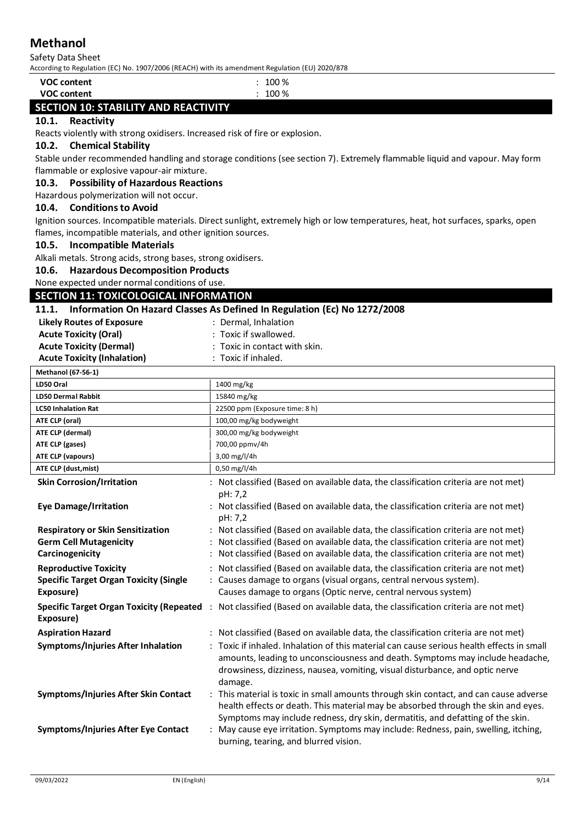Safety Data Sheet

According to Regulation (EC) No. 1907/2006 (REACH) with its amendment Regulation (EU) 2020/878

| <b>VOC content</b>                   | 100 % |
|--------------------------------------|-------|
| <b>VOC content</b>                   | 100 % |
| SECTION 10: STABILITY AND REACTIVITY |       |

#### **10.1. Reactivity**

Reacts violently with strong oxidisers. Increased risk of fire or explosion.

#### **10.2. Chemical Stability**

Stable under recommended handling and storage conditions (see section 7). Extremely flammable liquid and vapour. May form flammable or explosive vapour-air mixture.

#### **10.3. Possibility of Hazardous Reactions**

Hazardous polymerization will not occur.

#### **10.4. Conditions to Avoid**

Ignition sources. Incompatible materials. Direct sunlight, extremely high or low temperatures, heat, hot surfaces, sparks, open flames, incompatible materials, and other ignition sources.

#### **10.5. Incompatible Materials**

Alkali metals. Strong acids, strong bases, strong oxidisers.

**10.6. Hazardous Decomposition Products**

None expected under normal conditions of use.

# **SECTION 11: TOXICOLOGICAL INFORMATION**

#### **11.1. Information On Hazard Classes As Defined In Regulation (Ec) No 1272/2008**

| 11.I.                                           | Thrormation On Hazard Classes As Defined in Regulation (EC) NO 1272/2008                  |  |  |
|-------------------------------------------------|-------------------------------------------------------------------------------------------|--|--|
| <b>Likely Routes of Exposure</b>                | : Dermal, Inhalation                                                                      |  |  |
| <b>Acute Toxicity (Oral)</b>                    | : Toxic if swallowed.                                                                     |  |  |
| <b>Acute Toxicity (Dermal)</b>                  | Toxic in contact with skin.                                                               |  |  |
| <b>Acute Toxicity (Inhalation)</b>              | : Toxic if inhaled.                                                                       |  |  |
| Methanol (67-56-1)                              |                                                                                           |  |  |
| LD50 Oral                                       | 1400 mg/kg                                                                                |  |  |
| <b>LD50 Dermal Rabbit</b>                       | 15840 mg/kg                                                                               |  |  |
| <b>LC50 Inhalation Rat</b>                      | 22500 ppm (Exposure time: 8 h)                                                            |  |  |
| ATE CLP (oral)                                  | 100,00 mg/kg bodyweight                                                                   |  |  |
| ATE CLP (dermal)                                | 300,00 mg/kg bodyweight                                                                   |  |  |
| ATE CLP (gases)                                 | 700,00 ppmv/4h                                                                            |  |  |
| <b>ATE CLP (vapours)</b>                        | 3,00 mg/l/4h                                                                              |  |  |
| ATE CLP (dust, mist)                            | 0,50 mg/l/4h                                                                              |  |  |
| <b>Skin Corrosion/Irritation</b>                | Not classified (Based on available data, the classification criteria are not met)         |  |  |
|                                                 | pH: 7,2                                                                                   |  |  |
| <b>Eye Damage/Irritation</b>                    | : Not classified (Based on available data, the classification criteria are not met)       |  |  |
|                                                 | pH: 7,2                                                                                   |  |  |
| <b>Respiratory or Skin Sensitization</b>        | Not classified (Based on available data, the classification criteria are not met)         |  |  |
| <b>Germ Cell Mutagenicity</b>                   | Not classified (Based on available data, the classification criteria are not met)         |  |  |
| Carcinogenicity                                 | Not classified (Based on available data, the classification criteria are not met)         |  |  |
| <b>Reproductive Toxicity</b>                    | Not classified (Based on available data, the classification criteria are not met)         |  |  |
| <b>Specific Target Organ Toxicity (Single</b>   | : Causes damage to organs (visual organs, central nervous system).                        |  |  |
| Exposure)                                       | Causes damage to organs (Optic nerve, central nervous system)                             |  |  |
| <b>Specific Target Organ Toxicity (Repeated</b> | : Not classified (Based on available data, the classification criteria are not met)       |  |  |
| Exposure)                                       |                                                                                           |  |  |
| <b>Aspiration Hazard</b>                        | Not classified (Based on available data, the classification criteria are not met)         |  |  |
|                                                 | : Toxic if inhaled. Inhalation of this material can cause serious health effects in small |  |  |
| Symptoms/Injuries After Inhalation              | amounts, leading to unconsciousness and death. Symptoms may include headache,             |  |  |
|                                                 | drowsiness, dizziness, nausea, vomiting, visual disturbance, and optic nerve              |  |  |
|                                                 |                                                                                           |  |  |
|                                                 | damage.                                                                                   |  |  |
| Symptoms/Injuries After Skin Contact            | This material is toxic in small amounts through skin contact, and can cause adverse       |  |  |
|                                                 | health effects or death. This material may be absorbed through the skin and eyes.         |  |  |
|                                                 | Symptoms may include redness, dry skin, dermatitis, and defatting of the skin.            |  |  |
| <b>Symptoms/Injuries After Eye Contact</b>      | May cause eye irritation. Symptoms may include: Redness, pain, swelling, itching,         |  |  |
|                                                 | burning, tearing, and blurred vision.                                                     |  |  |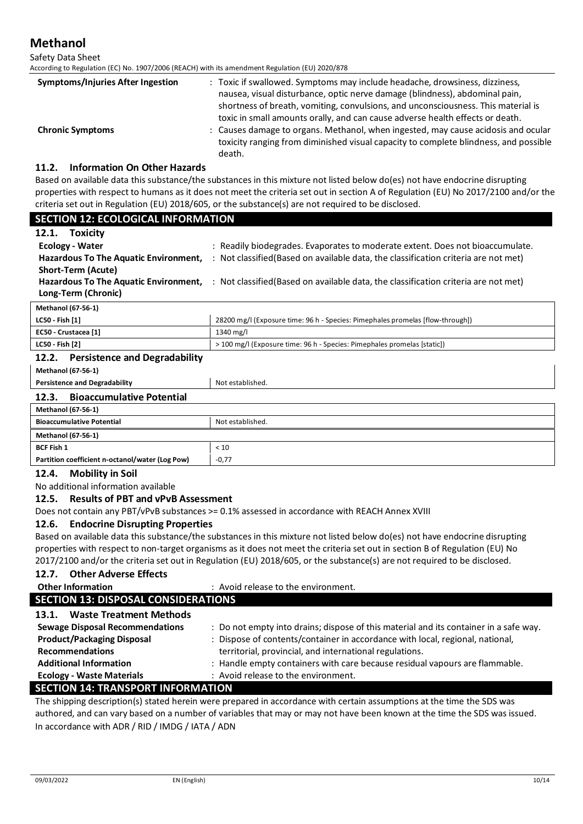Safety Data Sheet

According to Regulation (EC) No. 1907/2006 (REACH) with its amendment Regulation (EU) 2020/878

| <b>Symptoms/Injuries After Ingestion</b> | : Toxic if swallowed. Symptoms may include headache, drowsiness, dizziness,<br>nausea, visual disturbance, optic nerve damage (blindness), abdominal pain,<br>shortness of breath, vomiting, convulsions, and unconsciousness. This material is<br>toxic in small amounts orally, and can cause adverse health effects or death. |
|------------------------------------------|----------------------------------------------------------------------------------------------------------------------------------------------------------------------------------------------------------------------------------------------------------------------------------------------------------------------------------|
| <b>Chronic Symptoms</b>                  | : Causes damage to organs. Methanol, when ingested, may cause acidosis and ocular<br>toxicity ranging from diminished visual capacity to complete blindness, and possible<br>death.                                                                                                                                              |

#### **11.2. Information On Other Hazards**

Based on available data this substance/the substances in this mixture not listed below do(es) not have endocrine disrupting properties with respect to humans as it does not meet the criteria set out in section A of Regulation (EU) No 2017/2100 and/or the criteria set out in Regulation (EU) 2018/605, or the substance(s) are not required to be disclosed.

| <b>SECTION 12: ECOLOGICAL INFORMATION</b>                                                      |                                                                                                                           |  |  |
|------------------------------------------------------------------------------------------------|---------------------------------------------------------------------------------------------------------------------------|--|--|
| 12.1. Toxicity                                                                                 |                                                                                                                           |  |  |
| <b>Ecology - Water</b>                                                                         | : Readily biodegrades. Evaporates to moderate extent. Does not bioaccumulate.                                             |  |  |
| <b>Hazardous To The Aquatic Environment,</b>                                                   | : Not classified (Based on available data, the classification criteria are not met)                                       |  |  |
| <b>Short-Term (Acute)</b>                                                                      |                                                                                                                           |  |  |
|                                                                                                | Hazardous To The Aquatic Environment, : Not classified (Based on available data, the classification criteria are not met) |  |  |
| Long-Term (Chronic)                                                                            |                                                                                                                           |  |  |
| <b>Methanol (67-56-1)</b>                                                                      |                                                                                                                           |  |  |
| LC50 - Fish [1]                                                                                | 28200 mg/l (Exposure time: 96 h - Species: Pimephales promelas [flow-through])                                            |  |  |
| EC50 - Crustacea [1]                                                                           | 1340 mg/l                                                                                                                 |  |  |
| LC50 - Fish [2]                                                                                | > 100 mg/l (Exposure time: 96 h - Species: Pimephales promelas [static])                                                  |  |  |
| 12.2. Persistence and Degradability                                                            |                                                                                                                           |  |  |
| <b>Methanol (67-56-1)</b>                                                                      |                                                                                                                           |  |  |
| <b>Persistence and Degradability</b>                                                           | Not established.                                                                                                          |  |  |
| 12.3.<br><b>Bioaccumulative Potential</b>                                                      |                                                                                                                           |  |  |
| <b>Methanol (67-56-1)</b>                                                                      |                                                                                                                           |  |  |
| <b>Bioaccumulative Potential</b>                                                               | Not established.                                                                                                          |  |  |
| <b>Methanol (67-56-1)</b>                                                                      |                                                                                                                           |  |  |
| <b>BCF Fish 1</b>                                                                              | < 10                                                                                                                      |  |  |
| Partition coefficient n-octanol/water (Log Pow)                                                | $-0.77$                                                                                                                   |  |  |
| 12.4.<br><b>Mobility in Soil</b>                                                               |                                                                                                                           |  |  |
| No additional information available                                                            |                                                                                                                           |  |  |
| <b>Results of PBT and vPvB Assessment</b><br>12.5.                                             |                                                                                                                           |  |  |
| Does not contain any PBT/vPvB substances >= 0.1% assessed in accordance with REACH Annex XVIII |                                                                                                                           |  |  |
| 13 C. Endooving Diemeting Dronomics                                                            |                                                                                                                           |  |  |

#### **12.6. Endocrine Disrupting Properties**

Based on available data this substance/the substances in this mixture not listed below do(es) not have endocrine disrupting properties with respect to non-target organisms as it does not meet the criteria set out in section B of Regulation (EU) No 2017/2100 and/or the criteria set out in Regulation (EU) 2018/605, or the substance(s) are not required to be disclosed.

#### **12.7. Other Adverse Effects**

| <b>Other Information</b>                   | : Avoid release to the environment.                                                   |  |  |  |
|--------------------------------------------|---------------------------------------------------------------------------------------|--|--|--|
| <b>SECTION 13: DISPOSAL CONSIDERATIONS</b> |                                                                                       |  |  |  |
| <b>Waste Treatment Methods</b><br>13.1.    |                                                                                       |  |  |  |
| <b>Sewage Disposal Recommendations</b>     | : Do not empty into drains; dispose of this material and its container in a safe way. |  |  |  |
| <b>Product/Packaging Disposal</b>          | : Dispose of contents/container in accordance with local, regional, national,         |  |  |  |
| <b>Recommendations</b>                     | territorial, provincial, and international regulations.                               |  |  |  |
| <b>Additional Information</b>              | : Handle empty containers with care because residual vapours are flammable.           |  |  |  |
| <b>Ecology - Waste Materials</b>           | : Avoid release to the environment.                                                   |  |  |  |
| <b>SECTION 14: TRANSPORT INFORMATION</b>   |                                                                                       |  |  |  |

The shipping description(s) stated herein were prepared in accordance with certain assumptions at the time the SDS was authored, and can vary based on a number of variables that may or may not have been known at the time the SDS was issued. In accordance with ADR / RID / IMDG / IATA / ADN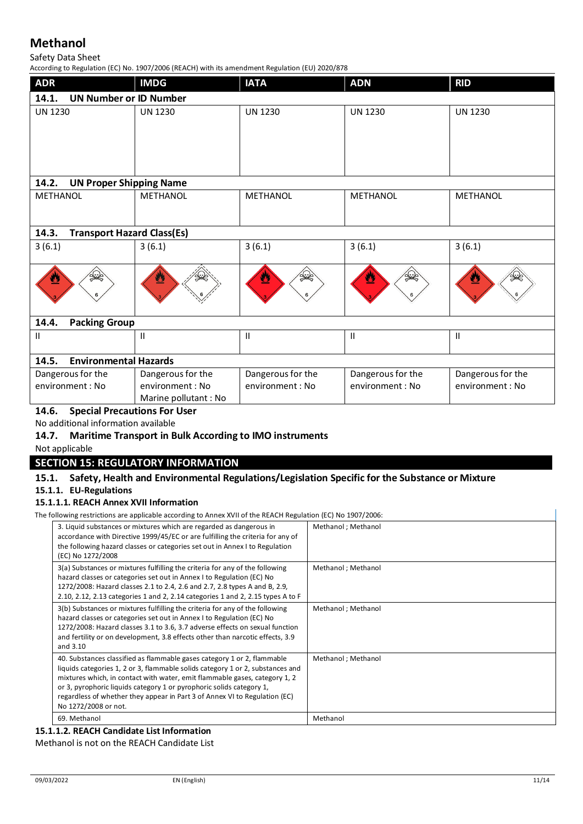#### Safety Data Sheet

According to Regulation (EC) No. 1907/2006 (REACH) with its amendment Regulation (EU) 2020/878

| <b>ADR</b>                                   | <b>IMDG</b>       | <b>IATA</b>       | <b>ADN</b>        | <b>RID</b>        |
|----------------------------------------------|-------------------|-------------------|-------------------|-------------------|
| 14.1.<br><b>UN Number or ID Number</b>       |                   |                   |                   |                   |
| <b>UN 1230</b>                               | <b>UN 1230</b>    | <b>UN 1230</b>    | <b>UN 1230</b>    | <b>UN 1230</b>    |
| 14.2.<br><b>UN Proper Shipping Name</b>      |                   |                   |                   |                   |
| <b>METHANOL</b>                              | METHANOL          | METHANOL          | <b>METHANOL</b>   | <b>METHANOL</b>   |
| 14.3.<br><b>Transport Hazard Class(Es)</b>   |                   |                   |                   |                   |
| 3(6.1)                                       | 3(6.1)            | 3(6.1)            | 3(6.1)            | 3(6.1)            |
| ू<br>सर्वे                                   | <b>42</b>         | ू<br>≫<br>V,      | ू<br>≫<br>≝<br>6  | ⋓                 |
| <b>Packing Group</b><br>14.4.                |                   |                   |                   |                   |
| $\mathbf{H}$                                 | $\sf II$          | Ш                 | Ш                 | Ш                 |
| 14.5.<br><b>Environmental Hazards</b>        |                   |                   |                   |                   |
| Dangerous for the                            | Dangerous for the | Dangerous for the | Dangerous for the | Dangerous for the |
| environment : No                             | environment: No   | environment : No  | environment: No   | environment : No  |
| Marine pollutant : No                        |                   |                   |                   |                   |
| 14.6.<br><b>Special Precautions For User</b> |                   |                   |                   |                   |

No additional information available

#### **14.7. Maritime Transport in Bulk According to IMO instruments**

Not applicable

#### **SECTION 15: REGULATORY INFORMATION**

# **15.1. Safety, Health and Environmental Regulations/Legislation Specific for the Substance or Mixture**

### **15.1.1. EU-Regulations**

### **15.1.1.1. REACH Annex XVII Information**

The following restrictions are applicable according to Annex XVII of the REACH Regulation (EC) No 1907/2006:

| 3. Liquid substances or mixtures which are regarded as dangerous in<br>Methanol ; Methanol<br>accordance with Directive 1999/45/EC or are fulfilling the criteria for any of<br>the following hazard classes or categories set out in Annex I to Regulation<br>(EC) No 1272/2008<br>3(a) Substances or mixtures fulfilling the criteria for any of the following<br>Methanol ; Methanol<br>hazard classes or categories set out in Annex I to Regulation (EC) No<br>1272/2008: Hazard classes 2.1 to 2.4, 2.6 and 2.7, 2.8 types A and B, 2.9,<br>2.10, 2.12, 2.13 categories 1 and 2, 2.14 categories 1 and 2, 2.15 types A to F<br>3(b) Substances or mixtures fulfilling the criteria for any of the following<br>Methanol ; Methanol<br>hazard classes or categories set out in Annex I to Regulation (EC) No<br>1272/2008: Hazard classes 3.1 to 3.6, 3.7 adverse effects on sexual function<br>and fertility or on development, 3.8 effects other than narcotic effects, 3.9<br>and 3.10<br>40. Substances classified as flammable gases category 1 or 2, flammable<br>Methanol ; Methanol<br>liquids categories 1, 2 or 3, flammable solids category 1 or 2, substances and<br>mixtures which, in contact with water, emit flammable gases, category 1, 2<br>or 3, pyrophoric liquids category 1 or pyrophoric solids category 1,<br>regardless of whether they appear in Part 3 of Annex VI to Regulation (EC)<br>No 1272/2008 or not.<br>69. Methanol<br>Methanol |  |  |
|----------------------------------------------------------------------------------------------------------------------------------------------------------------------------------------------------------------------------------------------------------------------------------------------------------------------------------------------------------------------------------------------------------------------------------------------------------------------------------------------------------------------------------------------------------------------------------------------------------------------------------------------------------------------------------------------------------------------------------------------------------------------------------------------------------------------------------------------------------------------------------------------------------------------------------------------------------------------------------------------------------------------------------------------------------------------------------------------------------------------------------------------------------------------------------------------------------------------------------------------------------------------------------------------------------------------------------------------------------------------------------------------------------------------------------------------------------------------------|--|--|
|                                                                                                                                                                                                                                                                                                                                                                                                                                                                                                                                                                                                                                                                                                                                                                                                                                                                                                                                                                                                                                                                                                                                                                                                                                                                                                                                                                                                                                                                            |  |  |
|                                                                                                                                                                                                                                                                                                                                                                                                                                                                                                                                                                                                                                                                                                                                                                                                                                                                                                                                                                                                                                                                                                                                                                                                                                                                                                                                                                                                                                                                            |  |  |
|                                                                                                                                                                                                                                                                                                                                                                                                                                                                                                                                                                                                                                                                                                                                                                                                                                                                                                                                                                                                                                                                                                                                                                                                                                                                                                                                                                                                                                                                            |  |  |
|                                                                                                                                                                                                                                                                                                                                                                                                                                                                                                                                                                                                                                                                                                                                                                                                                                                                                                                                                                                                                                                                                                                                                                                                                                                                                                                                                                                                                                                                            |  |  |
|                                                                                                                                                                                                                                                                                                                                                                                                                                                                                                                                                                                                                                                                                                                                                                                                                                                                                                                                                                                                                                                                                                                                                                                                                                                                                                                                                                                                                                                                            |  |  |

#### **15.1.1.2. REACH Candidate List Information**

Methanol is not on the REACH Candidate List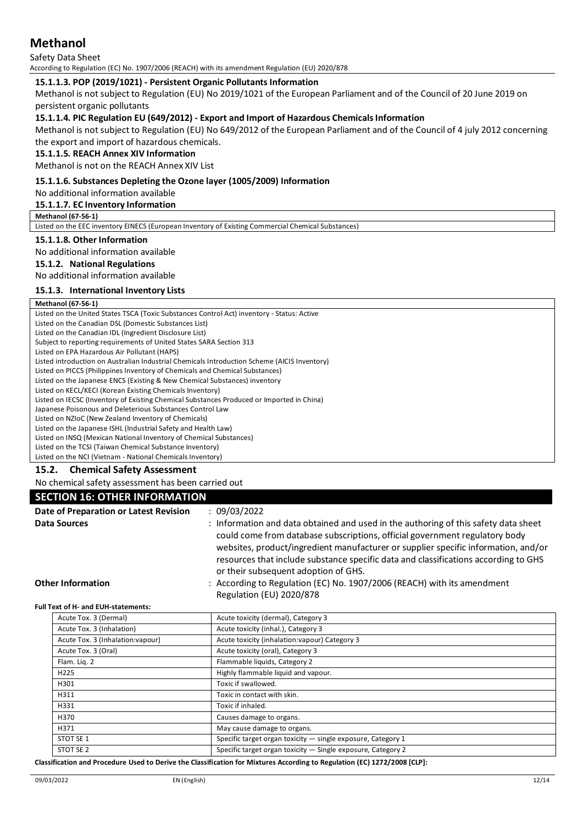Safety Data Sheet According to Regulation (EC) No. 1907/2006 (REACH) with its amendment Regulation (EU) 2020/878

#### **15.1.1.3. POP (2019/1021) - Persistent Organic Pollutants Information**

Methanol is not subject to Regulation (EU) No 2019/1021 of the European Parliament and of the Council of 20 June 2019 on persistent organic pollutants

#### **15.1.1.4. PIC Regulation EU (649/2012) - Export and Import of Hazardous Chemicals Information**

Methanol is not subject to Regulation (EU) No 649/2012 of the European Parliament and of the Council of 4 july 2012 concerning the export and import of hazardous chemicals.

#### **15.1.1.5. REACH Annex XIV Information**

Methanol is not on the REACH Annex XIV List

#### **15.1.1.6. Substances Depleting the Ozone layer (1005/2009) Information**

No additional information available

#### **15.1.1.7. EC Inventory Information**

#### **Methanol (67-56-1)**

Listed on the EEC inventory EINECS (European Inventory of Existing Commercial Chemical Substances)

#### **15.1.1.8. Other Information**

No additional information available

#### **15.1.2. National Regulations**

No additional information available

#### **15.1.3. International Inventory Lists**

#### **Methanol (67-56-1)**

Listed on the United States TSCA (Toxic Substances Control Act) inventory - Status: Active Listed on the Canadian DSL (Domestic Substances List) Listed on the Canadian IDL (Ingredient Disclosure List) Subject to reporting requirements of United States SARA Section 313 Listed on EPA Hazardous Air Pollutant (HAPS) Listed introduction on Australian Industrial Chemicals Introduction Scheme (AICIS Inventory) Listed on PICCS (Philippines Inventory of Chemicals and Chemical Substances) Listed on the Japanese ENCS (Existing & New Chemical Substances) inventory Listed on KECL/KECI (Korean Existing Chemicals Inventory) Listed on IECSC (Inventory of Existing Chemical Substances Produced or Imported in China) Japanese Poisonous and Deleterious Substances Control Law Listed on NZIoC (New Zealand Inventory of Chemicals) Listed on the Japanese ISHL (Industrial Safety and Health Law) Listed on INSQ (Mexican National Inventory of Chemical Substances) Listed on the TCSI (Taiwan Chemical Substance Inventory)

Listed on the NCI (Vietnam - National Chemicals Inventory)

#### **15.2. Chemical Safety Assessment**

No chemical safety assessment has been carried out

#### **SECTION 16: OTHER INFORMATION**

| Date of Preparation or Latest Revision | : 09/03/2022                                                                                                                                                                                                                                                                                                                                                                            |
|----------------------------------------|-----------------------------------------------------------------------------------------------------------------------------------------------------------------------------------------------------------------------------------------------------------------------------------------------------------------------------------------------------------------------------------------|
| <b>Data Sources</b>                    | : Information and data obtained and used in the authoring of this safety data sheet<br>could come from database subscriptions, official government regulatory body<br>websites, product/ingredient manufacturer or supplier specific information, and/or<br>resources that include substance specific data and classifications according to GHS<br>or their subsequent adoption of GHS. |
| <b>Other Information</b>               | : According to Regulation (EC) No. 1907/2006 (REACH) with its amendment<br>Regulation (EU) 2020/878                                                                                                                                                                                                                                                                                     |

#### **Full Text of H- and EUH-statements:**

| Acute Tox. 3 (Dermal)             | Acute toxicity (dermal), Category 3                          |
|-----------------------------------|--------------------------------------------------------------|
| Acute Tox. 3 (Inhalation)         | Acute toxicity (inhal.), Category 3                          |
| Acute Tox. 3 (Inhalation: vapour) | Acute toxicity (inhalation: vapour) Category 3               |
| Acute Tox. 3 (Oral)               | Acute toxicity (oral), Category 3                            |
| Flam. Lig. 2                      | Flammable liquids, Category 2                                |
| H225                              | Highly flammable liquid and vapour.                          |
| H301                              | Toxic if swallowed.                                          |
| H311                              | Toxic in contact with skin.                                  |
| H331                              | Toxic if inhaled.                                            |
| H370                              | Causes damage to organs.                                     |
| H371                              | May cause damage to organs.                                  |
| STOT SE 1                         | Specific target organ toxicity - single exposure, Category 1 |
| STOT SE 2                         | Specific target organ toxicity - Single exposure, Category 2 |
|                                   |                                                              |

**Classification and Procedure Used to Derive the Classification for Mixtures According to Regulation (EC) 1272/2008 [CLP]:**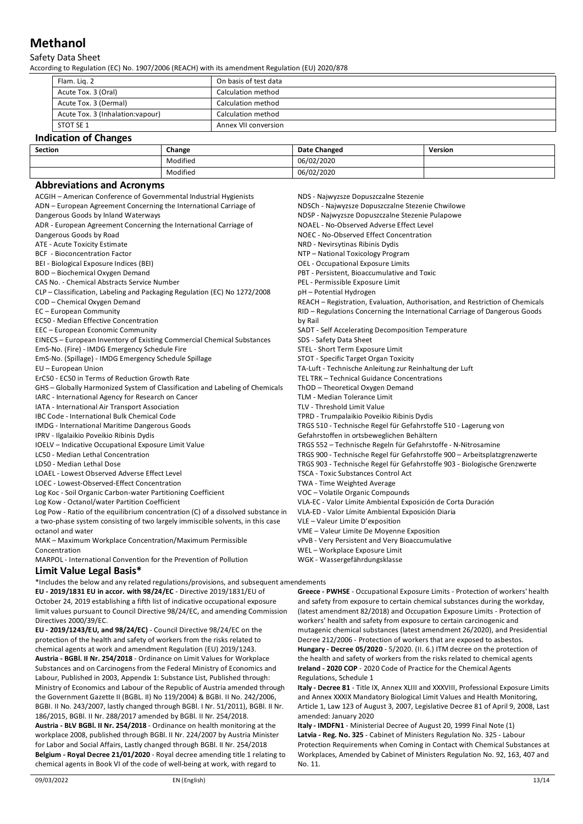#### Safety Data Sheet

According to Regulation (EC) No. 1907/2006 (REACH) with its amendment Regulation (EU) 2020/878

| Flam. Lig. 2                      | On basis of test data |
|-----------------------------------|-----------------------|
| Acute Tox. 3 (Oral)               | Calculation method    |
| Acute Tox. 3 (Dermal)             | Calculation method    |
| Acute Tox. 3 (Inhalation: vapour) | Calculation method    |
| STOT SE 1                         | Annex VII conversion  |

#### **Indication of Changes**

| Section | Change   | <b>Date Changed</b> | Version |
|---------|----------|---------------------|---------|
|         | Modified | 06/02/2020          |         |
|         | Modified | 06/02/2020          |         |

#### **Abbreviations and Acronyms**

| ACGIH - American Conference of Governmental Industrial Hygienists                | NDS - Najwyzsze Dopuszczalne Stezenie                                         |
|----------------------------------------------------------------------------------|-------------------------------------------------------------------------------|
| ADN - European Agreement Concerning the International Carriage of                | NDSCh - Najwyzsze Dopuszczalne Stezenie Chwilowe                              |
| Dangerous Goods by Inland Waterways                                              | NDSP - Najwyzsze Dopuszczalne Stezenie Pulapowe                               |
| ADR - European Agreement Concerning the International Carriage of                | NOAEL - No-Observed Adverse Effect Level                                      |
| Dangerous Goods by Road                                                          | NOEC - No-Observed Effect Concentration                                       |
| ATE - Acute Toxicity Estimate                                                    | NRD - Nevirsytinas Ribinis Dydis                                              |
| <b>BCF</b> - Bioconcentration Factor                                             | NTP - National Toxicology Program                                             |
| BEI - Biological Exposure Indices (BEI)                                          | <b>OEL</b> - Occupational Exposure Limits                                     |
| BOD - Biochemical Oxygen Demand                                                  | PBT - Persistent, Bioaccumulative and Toxic                                   |
| CAS No. - Chemical Abstracts Service Number                                      | PEL - Permissible Exposure Limit                                              |
| CLP – Classification, Labeling and Packaging Regulation (EC) No 1272/2008        | pH - Potential Hydrogen                                                       |
| COD - Chemical Oxygen Demand                                                     | REACH - Registration, Evaluation, Authorisation, and Restriction of Chemicals |
| EC - European Community                                                          | RID - Regulations Concerning the International Carriage of Dangerous Goods    |
| <b>EC50 - Median Effective Concentration</b>                                     | by Rail                                                                       |
| EEC - European Economic Community                                                | SADT - Self Accelerating Decomposition Temperature                            |
| EINECS - European Inventory of Existing Commercial Chemical Substances           | SDS - Safety Data Sheet                                                       |
| EmS-No. (Fire) - IMDG Emergency Schedule Fire                                    | STEL - Short Term Exposure Limit                                              |
| EmS-No. (Spillage) - IMDG Emergency Schedule Spillage                            | STOT - Specific Target Organ Toxicity                                         |
| EU - European Union                                                              | TA-Luft - Technische Anleitung zur Reinhaltung der Luft                       |
| ErC50 - EC50 in Terms of Reduction Growth Rate                                   | TEL TRK - Technical Guidance Concentrations                                   |
| GHS - Globally Harmonized System of Classification and Labeling of Chemicals     | ThOD - Theoretical Oxygen Demand                                              |
| IARC - International Agency for Research on Cancer                               | TLM - Median Tolerance Limit                                                  |
| IATA - International Air Transport Association                                   | TLV - Threshold Limit Value                                                   |
| IBC Code - International Bulk Chemical Code                                      | TPRD - Trumpalaikio Poveikio Ribinis Dydis                                    |
| IMDG - International Maritime Dangerous Goods                                    | TRGS 510 - Technische Regel für Gefahrstoffe 510 - Lagerung von               |
| IPRV - Ilgalaikio Poveikio Ribinis Dydis                                         | Gefahrstoffen in ortsbeweglichen Behältern                                    |
| IOELV - Indicative Occupational Exposure Limit Value                             | TRGS 552 - Technische Regeln für Gefahrstoffe - N-Nitrosamine                 |
| LC50 - Median Lethal Concentration                                               | TRGS 900 - Technische Regel für Gefahrstoffe 900 - Arbeitsplatzgrenzwerte     |
| LD50 - Median Lethal Dose                                                        | TRGS 903 - Technische Regel für Gefahrstoffe 903 - Biologische Grenzwerte     |
| LOAEL - Lowest Observed Adverse Effect Level                                     | <b>TSCA - Toxic Substances Control Act</b>                                    |
| LOEC - Lowest-Observed-Effect Concentration                                      | TWA - Time Weighted Average                                                   |
| Log Koc - Soil Organic Carbon-water Partitioning Coefficient                     | VOC - Volatile Organic Compounds                                              |
| Log Kow - Octanol/water Partition Coefficient                                    | VLA-EC - Valor Límite Ambiental Exposición de Corta Duración                  |
| Log Pow - Ratio of the equilibrium concentration (C) of a dissolved substance in | VLA-ED - Valor Límite Ambiental Exposición Diaria                             |
| a two-phase system consisting of two largely immiscible solvents, in this case   | VLE - Valeur Limite D'exposition                                              |
| octanol and water                                                                | VME - Valeur Limite De Moyenne Exposition                                     |
| MAK - Maximum Workplace Concentration/Maximum Permissible                        | vPvB - Very Persistent and Very Bioaccumulative                               |
| Concentration                                                                    | WEL-Workplace Exposure Limit                                                  |
| MARPOL - International Convention for the Prevention of Pollution                | WGK - Wassergefährdungsklasse                                                 |
|                                                                                  |                                                                               |

#### **Limit Value Legal Basis\***

\*Includes the below and any related regulations/provisions, and subsequent amendements **EU - 2019/1831 EU in accor. with 98/24/EC** - Directive 2019/1831/EU of October 24, 2019 establishing a fifth list of indicative occupational exposure limit values pursuant to Council Directive 98/24/EC, and amending Commission Directives 2000/39/EC.

**EU - 2019/1243/EU, and 98/24/EC)** - Council Directive 98/24/EC on the protection of the health and safety of workers from the risks related to chemical agents at work and amendment Regulation (EU) 2019/1243. **Austria - BGBl. II Nr. 254/2018** - Ordinance on Limit Values for Workplace Substances and on Carcinogens from the Federal Ministry of Economics and Labour, Published in 2003, Appendix 1: Substance List, Published through: Ministry of Economics and Labour of the Republic of Austria amended through the Government Gazette II (BGBL. II) No 119/2004) & BGBI. II No. 242/2006, BGBI. II No. 243/2007, lastly changed through BGBl. I Nr. 51/2011), BGBl. II Nr. 186/2015, BGBl. II Nr. 288/2017 amended by BGBl. II Nr. 254/2018. **Austria - BLV BGBl. II Nr. 254/2018** - Ordinance on health monitoring at the workplace 2008, published through BGBl. II Nr. 224/2007 by Austria Minister for Labor and Social Affairs, Lastly changed through BGBl. II Nr. 254/2018 **Belgium - Royal Decree 21/01/2020** - Royal decree amending title 1 relating to chemical agents in Book VI of the code of well-being at work, with regard to

**Greece - PWHSE** - Occupational Exposure Limits - Protection of workers' health and safety from exposure to certain chemical substances during the workday, (latest amendment 82/2018) and Occupation Exposure Limits - Protection of workers' health and safety from exposure to certain carcinogenic and mutagenic chemical substances (latest amendment 26/2020), and Presidential Decree 212/2006 - Protection of workers that are exposed to asbestos. **Hungary - Decree 05/2020** - 5/2020. (II. 6.) ITM decree on the protection of the health and safety of workers from the risks related to chemical agents **Ireland - 2020 COP** - 2020 Code of Practice for the Chemical Agents Regulations, Schedule 1

**Italy - Decree 81** - Title IX, Annex XLIII and XXXVIII, Professional Exposure Limits and Annex XXXIX Mandatory Biological Limit Values and Health Monitoring, Article 1, Law 123 of August 3, 2007, Legislative Decree 81 of April 9, 2008, Last amended: January 2020

**Italy - IMDFN1** - Ministerial Decree of August 20, 1999 Final Note (1) **Latvia - Reg. No. 325** - Cabinet of Ministers Regulation No. 325 - Labour Protection Requirements when Coming in Contact with Chemical Substances at Workplaces, Amended by Cabinet of Ministers Regulation No. 92, 163, 407 and No. 11.